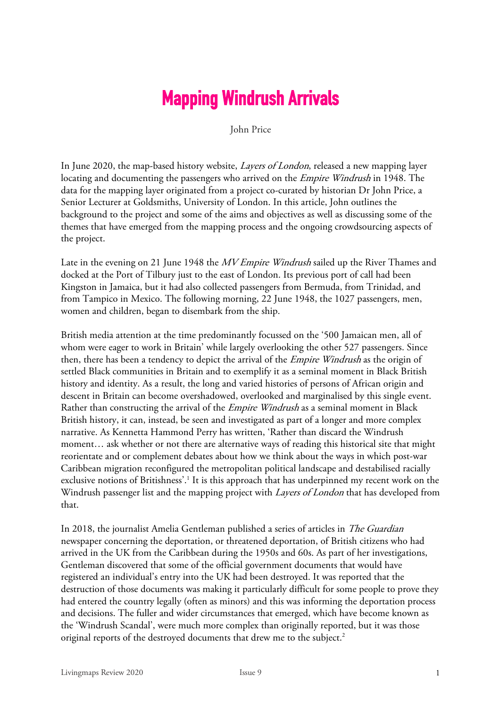## **Mapping Windrush Arrivals**

John Price

In June 2020, the map-based history website, *Layers of London*, released a new mapping layer locating and documenting the passengers who arrived on the Empire Windrush in 1948. The data for the mapping layer originated from a project co-curated by historian Dr John Price, a Senior Lecturer at Goldsmiths, University of London. In this article, John outlines the background to the project and some of the aims and objectives as well as discussing some of the themes that have emerged from the mapping process and the ongoing crowdsourcing aspects of the project.

Late in the evening on 21 June 1948 the MV Empire Windrush sailed up the River Thames and docked at the Port of Tilbury just to the east of London. Its previous port of call had been Kingston in Jamaica, but it had also collected passengers from Bermuda, from Trinidad, and from Tampico in Mexico. The following morning, 22 June 1948, the 1027 passengers, men, women and children, began to disembark from the ship.

British media attention at the time predominantly focussed on the '500 Jamaican men, all of whom were eager to work in Britain' while largely overlooking the other 527 passengers. Since then, there has been a tendency to depict the arrival of the *Empire Windrush* as the origin of settled Black communities in Britain and to exemplify it as a seminal moment in Black British history and identity. As a result, the long and varied histories of persons of African origin and descent in Britain can become overshadowed, overlooked and marginalised by this single event. Rather than constructing the arrival of the *Empire Windrush* as a seminal moment in Black British history, it can, instead, be seen and investigated as part of a longer and more complex narrative. As Kennetta Hammond Perry has written, 'Rather than discard the Windrush moment… ask whether or not there are alternative ways of reading this historical site that might reorientate and or complement debates about how we think about the ways in which post-war Caribbean migration reconfigured the metropolitan political landscape and destabilised racially exclusive notions of Britishness'.<sup>1</sup> It is this approach that has underpinned my recent work on the Windrush passenger list and the mapping project with *Layers of London* that has developed from that.

In 2018, the journalist Amelia Gentleman published a series of articles in The Guardian newspaper concerning the deportation, or threatened deportation, of British citizens who had arrived in the UK from the Caribbean during the 1950s and 60s. As part of her investigations, Gentleman discovered that some of the official government documents that would have registered an individual's entry into the UK had been destroyed. It was reported that the destruction of those documents was making it particularly difficult for some people to prove they had entered the country legally (often as minors) and this was informing the deportation process and decisions. The fuller and wider circumstances that emerged, which have become known as the 'Windrush Scandal', were much more complex than originally reported, but it was those original reports of the destroyed documents that drew me to the subject.<sup>2</sup>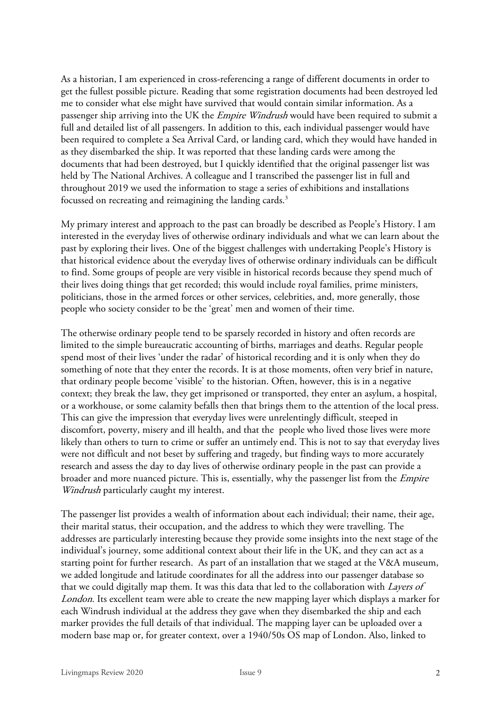As a historian, I am experienced in cross-referencing a range of different documents in order to get the fullest possible picture. Reading that some registration documents had been destroyed led me to consider what else might have survived that would contain similar information. As a passenger ship arriving into the UK the *Empire Windrush* would have been required to submit a full and detailed list of all passengers. In addition to this, each individual passenger would have been required to complete a Sea Arrival Card, or landing card, which they would have handed in as they disembarked the ship. It was reported that these landing cards were among the documents that had been destroyed, but I quickly identified that the original passenger list was held by The National Archives. A colleague and I transcribed the passenger list in full and throughout 2019 we used the information to stage a series of exhibitions and installations focussed on recreating and reimagining the landing cards.<sup>3</sup>

My primary interest and approach to the past can broadly be described as People's History. I am interested in the everyday lives of otherwise ordinary individuals and what we can learn about the past by exploring their lives. One of the biggest challenges with undertaking People's History is that historical evidence about the everyday lives of otherwise ordinary individuals can be difficult to find. Some groups of people are very visible in historical records because they spend much of their lives doing things that get recorded; this would include royal families, prime ministers, politicians, those in the armed forces or other services, celebrities, and, more generally, those people who society consider to be the 'great' men and women of their time.

The otherwise ordinary people tend to be sparsely recorded in history and often records are limited to the simple bureaucratic accounting of births, marriages and deaths. Regular people spend most of their lives 'under the radar' of historical recording and it is only when they do something of note that they enter the records. It is at those moments, often very brief in nature, that ordinary people become 'visible' to the historian. Often, however, this is in a negative context; they break the law, they get imprisoned or transported, they enter an asylum, a hospital, or a workhouse, or some calamity befalls then that brings them to the attention of the local press. This can give the impression that everyday lives were unrelentingly difficult, steeped in discomfort, poverty, misery and ill health, and that the people who lived those lives were more likely than others to turn to crime or suffer an untimely end. This is not to say that everyday lives were not difficult and not beset by suffering and tragedy, but finding ways to more accurately research and assess the day to day lives of otherwise ordinary people in the past can provide a broader and more nuanced picture. This is, essentially, why the passenger list from the Empire Windrush particularly caught my interest.

The passenger list provides a wealth of information about each individual; their name, their age, their marital status, their occupation, and the address to which they were travelling. The addresses are particularly interesting because they provide some insights into the next stage of the individual's journey, some additional context about their life in the UK, and they can act as a starting point for further research. As part of an installation that we staged at the V&A museum, we added longitude and latitude coordinates for all the address into our passenger database so that we could digitally map them. It was this data that led to the collaboration with *Layers of* London. Its excellent team were able to create the new mapping layer which displays a marker for each Windrush individual at the address they gave when they disembarked the ship and each marker provides the full details of that individual. The mapping layer can be uploaded over a modern base map or, for greater context, over a 1940/50s OS map of London. Also, linked to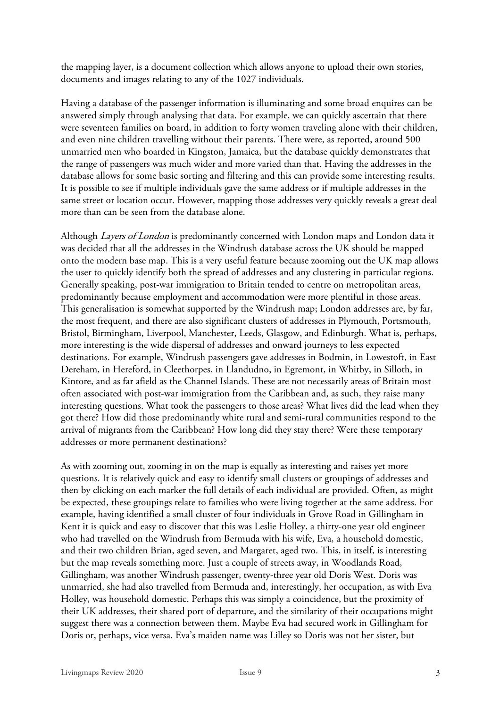the mapping layer, is a document collection which allows anyone to upload their own stories, documents and images relating to any of the 1027 individuals.

Having a database of the passenger information is illuminating and some broad enquires can be answered simply through analysing that data. For example, we can quickly ascertain that there were seventeen families on board, in addition to forty women traveling alone with their children, and even nine children travelling without their parents. There were, as reported, around 500 unmarried men who boarded in Kingston, Jamaica, but the database quickly demonstrates that the range of passengers was much wider and more varied than that. Having the addresses in the database allows for some basic sorting and filtering and this can provide some interesting results. It is possible to see if multiple individuals gave the same address or if multiple addresses in the same street or location occur. However, mapping those addresses very quickly reveals a great deal more than can be seen from the database alone.

Although Layers of London is predominantly concerned with London maps and London data it was decided that all the addresses in the Windrush database across the UK should be mapped onto the modern base map. This is a very useful feature because zooming out the UK map allows the user to quickly identify both the spread of addresses and any clustering in particular regions. Generally speaking, post-war immigration to Britain tended to centre on metropolitan areas, predominantly because employment and accommodation were more plentiful in those areas. This generalisation is somewhat supported by the Windrush map; London addresses are, by far, the most frequent, and there are also significant clusters of addresses in Plymouth, Portsmouth, Bristol, Birmingham, Liverpool, Manchester, Leeds, Glasgow, and Edinburgh. What is, perhaps, more interesting is the wide dispersal of addresses and onward journeys to less expected destinations. For example, Windrush passengers gave addresses in Bodmin, in Lowestoft, in East Dereham, in Hereford, in Cleethorpes, in Llandudno, in Egremont, in Whitby, in Silloth, in Kintore, and as far afield as the Channel Islands. These are not necessarily areas of Britain most often associated with post-war immigration from the Caribbean and, as such, they raise many interesting questions. What took the passengers to those areas? What lives did the lead when they got there? How did those predominantly white rural and semi-rural communities respond to the arrival of migrants from the Caribbean? How long did they stay there? Were these temporary addresses or more permanent destinations?

As with zooming out, zooming in on the map is equally as interesting and raises yet more questions. It is relatively quick and easy to identify small clusters or groupings of addresses and then by clicking on each marker the full details of each individual are provided. Often, as might be expected, these groupings relate to families who were living together at the same address. For example, having identified a small cluster of four individuals in Grove Road in Gillingham in Kent it is quick and easy to discover that this was Leslie Holley, a thirty-one year old engineer who had travelled on the Windrush from Bermuda with his wife, Eva, a household domestic, and their two children Brian, aged seven, and Margaret, aged two. This, in itself, is interesting but the map reveals something more. Just a couple of streets away, in Woodlands Road, Gillingham, was another Windrush passenger, twenty-three year old Doris West. Doris was unmarried, she had also travelled from Bermuda and, interestingly, her occupation, as with Eva Holley, was household domestic. Perhaps this was simply a coincidence, but the proximity of their UK addresses, their shared port of departure, and the similarity of their occupations might suggest there was a connection between them. Maybe Eva had secured work in Gillingham for Doris or, perhaps, vice versa. Eva's maiden name was Lilley so Doris was not her sister, but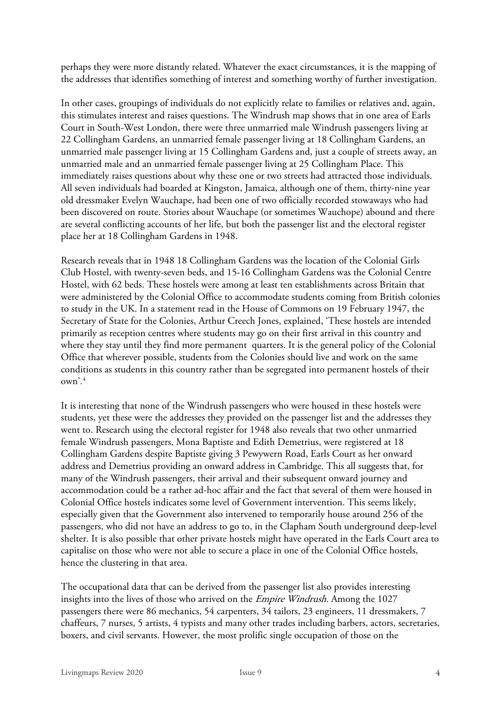perhaps they were more distantly related. Whatever the exact circumstances, it is the mapping of the addresses that identifies something of interest and something worthy of further investigation.

In other cases, groupings of individuals do not explicitly relate to families or relatives and, again, this stimulates interest and raises questions. The Windrush map shows that in one area of Earls Court in South-West London, there were three unmarried male Windrush passengers living at 22 Collingham Gardens, an unmarried female passenger living at 18 Collingham Gardens, an unmarried male passenger living at 15 Collingham Gardens and, just a couple of streets away, an unmarried male and an unmarried female passenger living at 25 Collingham Place. This immediately raises questions about why these one or two streets had attracted those individuals. All seven individuals had boarded at Kingston, Jamaica, although one of them, thirty-nine year old dressmaker Evelyn Wauchape, had been one of two officially recorded stowaways who had been discovered on route. Stories about Wauchape (or sometimes Wauchope) abound and there are several conflicting accounts of her life, but both the passenger list and the electoral register place her at 18 Collingham Gardens in 1948.

Research reveals that in 1948 18 Collingham Gardens was the location of the Colonial Girls Club Hostel, with twenty-seven beds, and 15-16 Collingham Gardens was the Colonial Centre Hostel, with 62 beds. These hostels were among at least ten establishments across Britain that were administered by the Colonial Office to accommodate students coming from British colonies to study in the UK. In a statement read in the House of Commons on 19 February 1947, the Secretary of State for the Colonies, Arthur Creech Jones, explained, 'These hostels are intended primarily as reception centres where students may go on their first arrival in this country and where they stay until they find more permanent quarters. It is the general policy of the Colonial Office that wherever possible, students from the Colonies should live and work on the same conditions as students in this country rather than be segregated into permanent hostels of their own'.4

It is interesting that none of the Windrush passengers who were housed in these hostels were students, yet these were the addresses they provided on the passenger list and the addresses they went to. Research using the electoral register for 1948 also reveals that two other unmarried female Windrush passengers, Mona Baptiste and Edith Demetrius, were registered at 18 Collingham Gardens despite Baptiste giving 3 Pewywern Road, Earls Court as her onward address and Demetrius providing an onward address in Cambridge. This all suggests that, for many of the Windrush passengers, their arrival and their subsequent onward journey and accommodation could be a rather ad-hoc affair and the fact that several of them were housed in Colonial Office hostels indicates some level of Government intervention. This seems likely, especially given that the Government also intervened to temporarily house around 256 of the passengers, who did not have an address to go to, in the Clapham South underground deep-level shelter. It is also possible that other private hostels might have operated in the Earls Court area to capitalise on those who were not able to secure a place in one of the Colonial Office hostels, hence the clustering in that area.

The occupational data that can be derived from the passenger list also provides interesting insights into the lives of those who arrived on the Empire Windrush. Among the 1027 passengers there were 86 mechanics, 54 carpenters, 34 tailors, 23 engineers, 11 dressmakers, 7 chaffeurs, 7 nurses, 5 artists, 4 typists and many other trades including barbers, actors, secretaries, boxers, and civil servants. However, the most prolific single occupation of those on the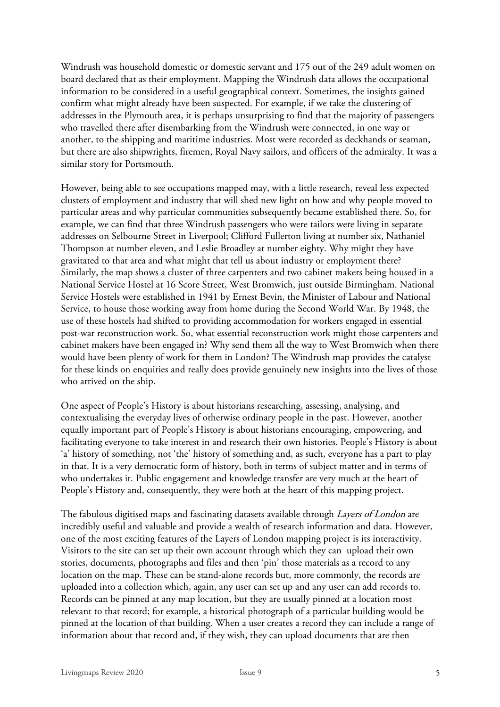Windrush was household domestic or domestic servant and 175 out of the 249 adult women on board declared that as their employment. Mapping the Windrush data allows the occupational information to be considered in a useful geographical context. Sometimes, the insights gained confirm what might already have been suspected. For example, if we take the clustering of addresses in the Plymouth area, it is perhaps unsurprising to find that the majority of passengers who travelled there after disembarking from the Windrush were connected, in one way or another, to the shipping and maritime industries. Most were recorded as deckhands or seaman, but there are also shipwrights, firemen, Royal Navy sailors, and officers of the admiralty. It was a similar story for Portsmouth.

However, being able to see occupations mapped may, with a little research, reveal less expected clusters of employment and industry that will shed new light on how and why people moved to particular areas and why particular communities subsequently became established there. So, for example, we can find that three Windrush passengers who were tailors were living in separate addresses on Selbourne Street in Liverpool; Clifford Fullerton living at number six, Nathaniel Thompson at number eleven, and Leslie Broadley at number eighty. Why might they have gravitated to that area and what might that tell us about industry or employment there? Similarly, the map shows a cluster of three carpenters and two cabinet makers being housed in a National Service Hostel at 16 Score Street, West Bromwich, just outside Birmingham. National Service Hostels were established in 1941 by Ernest Bevin, the Minister of Labour and National Service, to house those working away from home during the Second World War. By 1948, the use of these hostels had shifted to providing accommodation for workers engaged in essential post-war reconstruction work. So, what essential reconstruction work might those carpenters and cabinet makers have been engaged in? Why send them all the way to West Bromwich when there would have been plenty of work for them in London? The Windrush map provides the catalyst for these kinds on enquiries and really does provide genuinely new insights into the lives of those who arrived on the ship.

One aspect of People's History is about historians researching, assessing, analysing, and contextualising the everyday lives of otherwise ordinary people in the past. However, another equally important part of People's History is about historians encouraging, empowering, and facilitating everyone to take interest in and research their own histories. People's History is about 'a' history of something, not 'the' history of something and, as such, everyone has a part to play in that. It is a very democratic form of history, both in terms of subject matter and in terms of who undertakes it. Public engagement and knowledge transfer are very much at the heart of People's History and, consequently, they were both at the heart of this mapping project.

The fabulous digitised maps and fascinating datasets available through Layers of London are incredibly useful and valuable and provide a wealth of research information and data. However, one of the most exciting features of the Layers of London mapping project is its interactivity. Visitors to the site can set up their own account through which they can upload their own stories, documents, photographs and files and then 'pin' those materials as a record to any location on the map. These can be stand-alone records but, more commonly, the records are uploaded into a collection which, again, any user can set up and any user can add records to. Records can be pinned at any map location, but they are usually pinned at a location most relevant to that record; for example, a historical photograph of a particular building would be pinned at the location of that building. When a user creates a record they can include a range of information about that record and, if they wish, they can upload documents that are then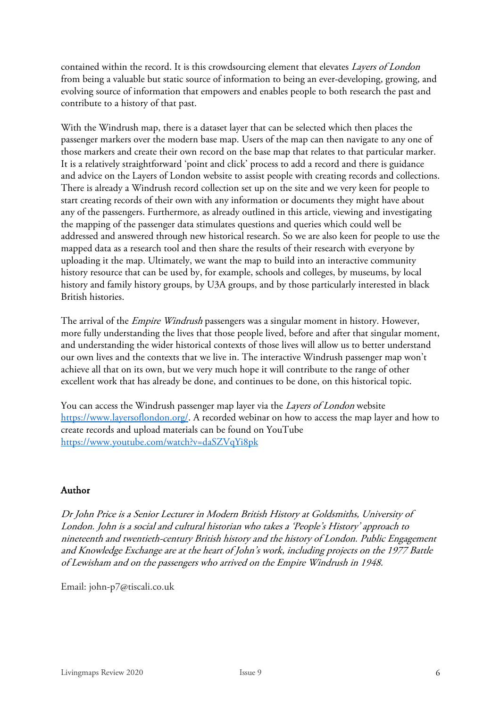contained within the record. It is this crowdsourcing element that elevates Layers of London from being a valuable but static source of information to being an ever-developing, growing, and evolving source of information that empowers and enables people to both research the past and contribute to a history of that past.

With the Windrush map, there is a dataset layer that can be selected which then places the passenger markers over the modern base map. Users of the map can then navigate to any one of those markers and create their own record on the base map that relates to that particular marker. It is a relatively straightforward 'point and click' process to add a record and there is guidance and advice on the Layers of London website to assist people with creating records and collections. There is already a Windrush record collection set up on the site and we very keen for people to start creating records of their own with any information or documents they might have about any of the passengers. Furthermore, as already outlined in this article, viewing and investigating the mapping of the passenger data stimulates questions and queries which could well be addressed and answered through new historical research. So we are also keen for people to use the mapped data as a research tool and then share the results of their research with everyone by uploading it the map. Ultimately, we want the map to build into an interactive community history resource that can be used by, for example, schools and colleges, by museums, by local history and family history groups, by U3A groups, and by those particularly interested in black British histories.

The arrival of the *Empire Windrush* passengers was a singular moment in history. However, more fully understanding the lives that those people lived, before and after that singular moment, and understanding the wider historical contexts of those lives will allow us to better understand our own lives and the contexts that we live in. The interactive Windrush passenger map won't achieve all that on its own, but we very much hope it will contribute to the range of other excellent work that has already be done, and continues to be done, on this historical topic.

You can access the Windrush passenger map layer via the *Layers of London* website https://www.layersoflondon.org/. A recorded webinar on how to access the map layer and how to create records and upload materials can be found on YouTube https://www.youtube.com/watch?v=daSZVqYi8pk

## Author

Dr John Price is a Senior Lecturer in Modern British History at Goldsmiths, University of London. John is a social and cultural historian who takes a 'People's History' approach to nineteenth and twentieth-century British history and the history of London. Public Engagement and Knowledge Exchange are at the heart of John's work, including projects on the 1977 Battle of Lewisham and on the passengers who arrived on the Empire Windrush in 1948.

Email: john-p7@tiscali.co.uk